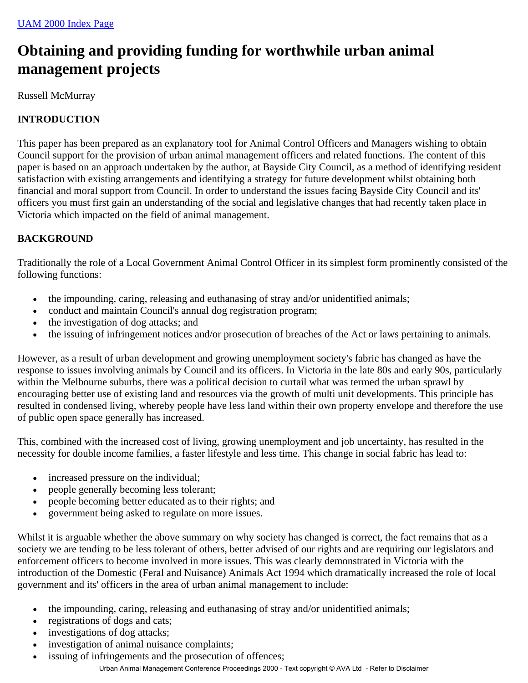# **Obtaining and providing funding for worthwhile urban animal management projects**

Russell McMurray

# **INTRODUCTION**

This paper has been prepared as an explanatory tool for Animal Control Officers and Managers wishing to obtain Council support for the provision of urban animal management officers and related functions. The content of this paper is based on an approach undertaken by the author, at Bayside City Council, as a method of identifying resident satisfaction with existing arrangements and identifying a strategy for future development whilst obtaining both financial and moral support from Council. In order to understand the issues facing Bayside City Council and its' officers you must first gain an understanding of the social and legislative changes that had recently taken place in Victoria which impacted on the field of animal management.

# **BACKGROUND**

Traditionally the role of a Local Government Animal Control Officer in its simplest form prominently consisted of the following functions:

- the impounding, caring, releasing and euthanasing of stray and/or unidentified animals;
- conduct and maintain Council's annual dog registration program;
- the investigation of dog attacks; and
- the issuing of infringement notices and/or prosecution of breaches of the Act or laws pertaining to animals.

However, as a result of urban development and growing unemployment society's fabric has changed as have the response to issues involving animals by Council and its officers. In Victoria in the late 80s and early 90s, particularly within the Melbourne suburbs, there was a political decision to curtail what was termed the urban sprawl by encouraging better use of existing land and resources via the growth of multi unit developments. This principle has resulted in condensed living, whereby people have less land within their own property envelope and therefore the use of public open space generally has increased.

This, combined with the increased cost of living, growing unemployment and job uncertainty, has resulted in the necessity for double income families, a faster lifestyle and less time. This change in social fabric has lead to:

- increased pressure on the individual;
- people generally becoming less tolerant;
- people becoming better educated as to their rights; and
- government being asked to regulate on more issues.

Whilst it is arguable whether the above summary on why society has changed is correct, the fact remains that as a society we are tending to be less tolerant of others, better advised of our rights and are requiring our legislators and enforcement officers to become involved in more issues. This was clearly demonstrated in Victoria with the introduction of the Domestic (Feral and Nuisance) Animals Act 1994 which dramatically increased the role of local government and its' officers in the area of urban animal management to include:

- the impounding, caring, releasing and euthanasing of stray and/or unidentified animals;
- registrations of dogs and cats;
- investigations of dog attacks;
- investigation of animal nuisance complaints;
- issuing of infringements and the prosecution of offences; Urban Animal Management Conference Proceedings 2000 - Text copyright © AVA Ltd - Refer to Disclaimer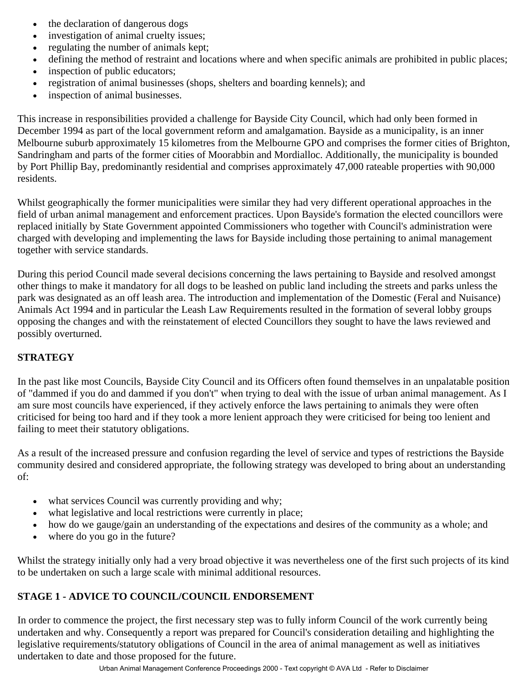- the declaration of dangerous dogs
- investigation of animal cruelty issues;
- regulating the number of animals kept;
- defining the method of restraint and locations where and when specific animals are prohibited in public places;
- inspection of public educators;
- registration of animal businesses (shops, shelters and boarding kennels); and
- inspection of animal businesses.

This increase in responsibilities provided a challenge for Bayside City Council, which had only been formed in December 1994 as part of the local government reform and amalgamation. Bayside as a municipality, is an inner Melbourne suburb approximately 15 kilometres from the Melbourne GPO and comprises the former cities of Brighton, Sandringham and parts of the former cities of Moorabbin and Mordialloc. Additionally, the municipality is bounded by Port Phillip Bay, predominantly residential and comprises approximately 47,000 rateable properties with 90,000 residents.

Whilst geographically the former municipalities were similar they had very different operational approaches in the field of urban animal management and enforcement practices. Upon Bayside's formation the elected councillors were replaced initially by State Government appointed Commissioners who together with Council's administration were charged with developing and implementing the laws for Bayside including those pertaining to animal management together with service standards.

During this period Council made several decisions concerning the laws pertaining to Bayside and resolved amongst other things to make it mandatory for all dogs to be leashed on public land including the streets and parks unless the park was designated as an off leash area. The introduction and implementation of the Domestic (Feral and Nuisance) Animals Act 1994 and in particular the Leash Law Requirements resulted in the formation of several lobby groups opposing the changes and with the reinstatement of elected Councillors they sought to have the laws reviewed and possibly overturned.

# **STRATEGY**

In the past like most Councils, Bayside City Council and its Officers often found themselves in an unpalatable position of "dammed if you do and dammed if you don't" when trying to deal with the issue of urban animal management. As I am sure most councils have experienced, if they actively enforce the laws pertaining to animals they were often criticised for being too hard and if they took a more lenient approach they were criticised for being too lenient and failing to meet their statutory obligations.

As a result of the increased pressure and confusion regarding the level of service and types of restrictions the Bayside community desired and considered appropriate, the following strategy was developed to bring about an understanding of:

- what services Council was currently providing and why;
- what legislative and local restrictions were currently in place;
- how do we gauge/gain an understanding of the expectations and desires of the community as a whole; and
- where do you go in the future?

Whilst the strategy initially only had a very broad objective it was nevertheless one of the first such projects of its kind to be undertaken on such a large scale with minimal additional resources.

# **STAGE 1 - ADVICE TO COUNCIL/COUNCIL ENDORSEMENT**

In order to commence the project, the first necessary step was to fully inform Council of the work currently being undertaken and why. Consequently a report was prepared for Council's consideration detailing and highlighting the legislative requirements/statutory obligations of Council in the area of animal management as well as initiatives undertaken to date and those proposed for the future.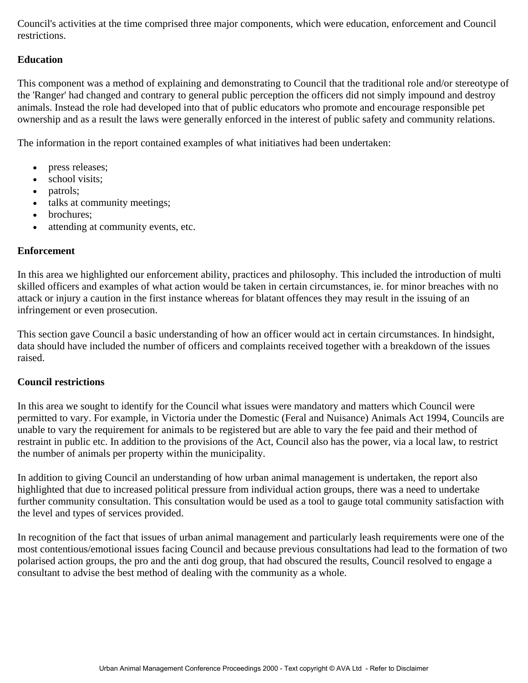Council's activities at the time comprised three major components, which were education, enforcement and Council restrictions.

#### **Education**

This component was a method of explaining and demonstrating to Council that the traditional role and/or stereotype of the 'Ranger' had changed and contrary to general public perception the officers did not simply impound and destroy animals. Instead the role had developed into that of public educators who promote and encourage responsible pet ownership and as a result the laws were generally enforced in the interest of public safety and community relations.

The information in the report contained examples of what initiatives had been undertaken:

- press releases;
- school visits;
- patrols;
- talks at community meetings;
- brochures:
- attending at community events, etc.

#### **Enforcement**

In this area we highlighted our enforcement ability, practices and philosophy. This included the introduction of multi skilled officers and examples of what action would be taken in certain circumstances, ie. for minor breaches with no attack or injury a caution in the first instance whereas for blatant offences they may result in the issuing of an infringement or even prosecution.

This section gave Council a basic understanding of how an officer would act in certain circumstances. In hindsight, data should have included the number of officers and complaints received together with a breakdown of the issues raised.

#### **Council restrictions**

In this area we sought to identify for the Council what issues were mandatory and matters which Council were permitted to vary. For example, in Victoria under the Domestic (Feral and Nuisance) Animals Act 1994, Councils are unable to vary the requirement for animals to be registered but are able to vary the fee paid and their method of restraint in public etc. In addition to the provisions of the Act, Council also has the power, via a local law, to restrict the number of animals per property within the municipality.

In addition to giving Council an understanding of how urban animal management is undertaken, the report also highlighted that due to increased political pressure from individual action groups, there was a need to undertake further community consultation. This consultation would be used as a tool to gauge total community satisfaction with the level and types of services provided.

In recognition of the fact that issues of urban animal management and particularly leash requirements were one of the most contentious/emotional issues facing Council and because previous consultations had lead to the formation of two polarised action groups, the pro and the anti dog group, that had obscured the results, Council resolved to engage a consultant to advise the best method of dealing with the community as a whole.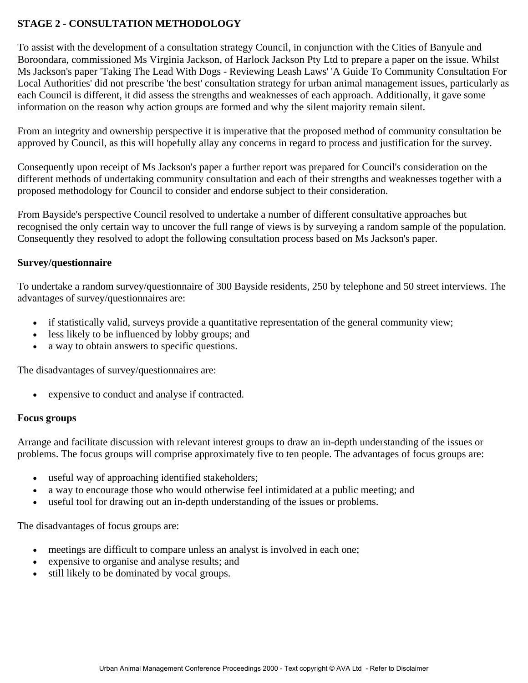# **STAGE 2 - CONSULTATION METHODOLOGY**

To assist with the development of a consultation strategy Council, in conjunction with the Cities of Banyule and Boroondara, commissioned Ms Virginia Jackson, of Harlock Jackson Pty Ltd to prepare a paper on the issue. Whilst Ms Jackson's paper 'Taking The Lead With Dogs - Reviewing Leash Laws' 'A Guide To Community Consultation For Local Authorities' did not prescribe 'the best' consultation strategy for urban animal management issues, particularly as each Council is different, it did assess the strengths and weaknesses of each approach. Additionally, it gave some information on the reason why action groups are formed and why the silent majority remain silent.

From an integrity and ownership perspective it is imperative that the proposed method of community consultation be approved by Council, as this will hopefully allay any concerns in regard to process and justification for the survey.

Consequently upon receipt of Ms Jackson's paper a further report was prepared for Council's consideration on the different methods of undertaking community consultation and each of their strengths and weaknesses together with a proposed methodology for Council to consider and endorse subject to their consideration.

From Bayside's perspective Council resolved to undertake a number of different consultative approaches but recognised the only certain way to uncover the full range of views is by surveying a random sample of the population. Consequently they resolved to adopt the following consultation process based on Ms Jackson's paper.

## **Survey/questionnaire**

To undertake a random survey/questionnaire of 300 Bayside residents, 250 by telephone and 50 street interviews. The advantages of survey/questionnaires are:

- if statistically valid, surveys provide a quantitative representation of the general community view;
- less likely to be influenced by lobby groups; and
- a way to obtain answers to specific questions.

The disadvantages of survey/questionnaires are:

expensive to conduct and analyse if contracted.

#### **Focus groups**

Arrange and facilitate discussion with relevant interest groups to draw an in-depth understanding of the issues or problems. The focus groups will comprise approximately five to ten people. The advantages of focus groups are:

- useful way of approaching identified stakeholders;
- a way to encourage those who would otherwise feel intimidated at a public meeting; and
- useful tool for drawing out an in-depth understanding of the issues or problems.

The disadvantages of focus groups are:

- meetings are difficult to compare unless an analyst is involved in each one;
- expensive to organise and analyse results; and
- still likely to be dominated by vocal groups.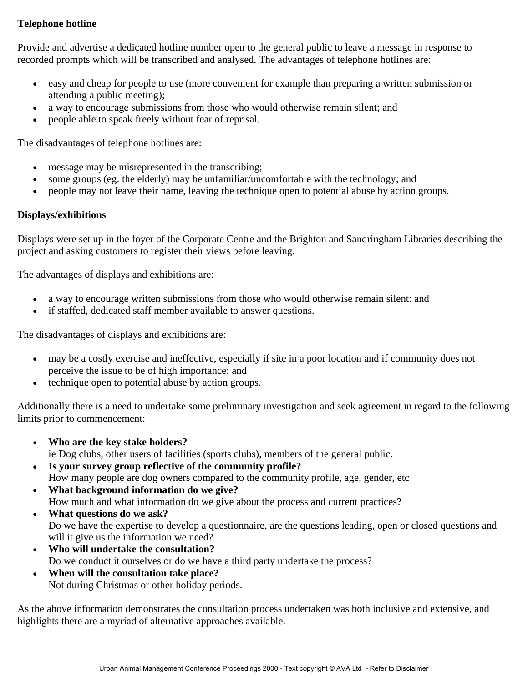## **Telephone hotline**

Provide and advertise a dedicated hotline number open to the general public to leave a message in response to recorded prompts which will be transcribed and analysed. The advantages of telephone hotlines are:

- easy and cheap for people to use (more convenient for example than preparing a written submission or attending a public meeting);
- a way to encourage submissions from those who would otherwise remain silent; and
- people able to speak freely without fear of reprisal.

The disadvantages of telephone hotlines are:

- message may be misrepresented in the transcribing;
- some groups (eg. the elderly) may be unfamiliar/uncomfortable with the technology; and
- people may not leave their name, leaving the technique open to potential abuse by action groups.

## **Displays/exhibitions**

Displays were set up in the foyer of the Corporate Centre and the Brighton and Sandringham Libraries describing the project and asking customers to register their views before leaving.

The advantages of displays and exhibitions are:

- a way to encourage written submissions from those who would otherwise remain silent: and
- if staffed, dedicated staff member available to answer questions.

The disadvantages of displays and exhibitions are:

- may be a costly exercise and ineffective, especially if site in a poor location and if community does not perceive the issue to be of high importance; and
- technique open to potential abuse by action groups.

Additionally there is a need to undertake some preliminary investigation and seek agreement in regard to the following limits prior to commencement:

- **Who are the key stake holders?**  ie Dog clubs, other users of facilities (sports clubs), members of the general public.
- **Is your survey group reflective of the community profile?**  How many people are dog owners compared to the community profile, age, gender, etc
- **What background information do we give?**  How much and what information do we give about the process and current practices?
- **What questions do we ask?**  Do we have the expertise to develop a questionnaire, are the questions leading, open or closed questions and will it give us the information we need?
- **Who will undertake the consultation?**  Do we conduct it ourselves or do we have a third party undertake the process?
- **When will the consultation take place?**  Not during Christmas or other holiday periods.

As the above information demonstrates the consultation process undertaken was both inclusive and extensive, and highlights there are a myriad of alternative approaches available.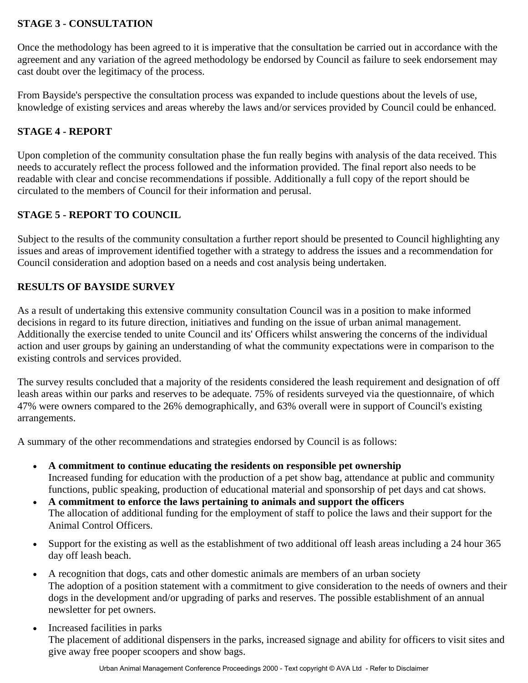# **STAGE 3 - CONSULTATION**

Once the methodology has been agreed to it is imperative that the consultation be carried out in accordance with the agreement and any variation of the agreed methodology be endorsed by Council as failure to seek endorsement may cast doubt over the legitimacy of the process.

From Bayside's perspective the consultation process was expanded to include questions about the levels of use, knowledge of existing services and areas whereby the laws and/or services provided by Council could be enhanced.

# **STAGE 4 - REPORT**

Upon completion of the community consultation phase the fun really begins with analysis of the data received. This needs to accurately reflect the process followed and the information provided. The final report also needs to be readable with clear and concise recommendations if possible. Additionally a full copy of the report should be circulated to the members of Council for their information and perusal.

# **STAGE 5 - REPORT TO COUNCIL**

Subject to the results of the community consultation a further report should be presented to Council highlighting any issues and areas of improvement identified together with a strategy to address the issues and a recommendation for Council consideration and adoption based on a needs and cost analysis being undertaken.

# **RESULTS OF BAYSIDE SURVEY**

As a result of undertaking this extensive community consultation Council was in a position to make informed decisions in regard to its future direction, initiatives and funding on the issue of urban animal management. Additionally the exercise tended to unite Council and its' Officers whilst answering the concerns of the individual action and user groups by gaining an understanding of what the community expectations were in comparison to the existing controls and services provided.

The survey results concluded that a majority of the residents considered the leash requirement and designation of off leash areas within our parks and reserves to be adequate. 75% of residents surveyed via the questionnaire, of which 47% were owners compared to the 26% demographically, and 63% overall were in support of Council's existing arrangements.

A summary of the other recommendations and strategies endorsed by Council is as follows:

- **A commitment to continue educating the residents on responsible pet ownership**  Increased funding for education with the production of a pet show bag, attendance at public and community functions, public speaking, production of educational material and sponsorship of pet days and cat shows.
- **A commitment to enforce the laws pertaining to animals and support the officers**  The allocation of additional funding for the employment of staff to police the laws and their support for the Animal Control Officers.
- Support for the existing as well as the establishment of two additional off leash areas including a 24 hour 365 day off leash beach.
- A recognition that dogs, cats and other domestic animals are members of an urban society The adoption of a position statement with a commitment to give consideration to the needs of owners and their dogs in the development and/or upgrading of parks and reserves. The possible establishment of an annual newsletter for pet owners.
- Increased facilities in parks The placement of additional dispensers in the parks, increased signage and ability for officers to visit sites and give away free pooper scoopers and show bags.